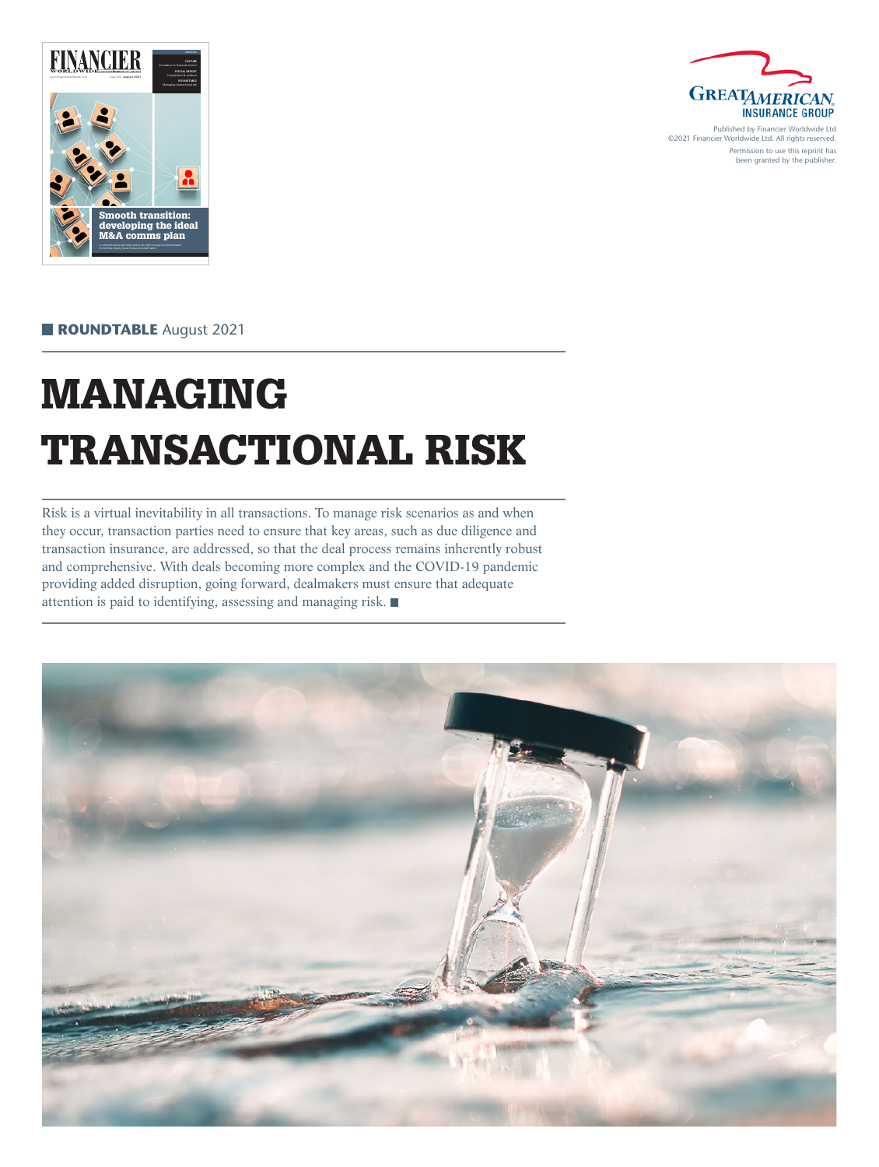



Published by Financier Worldwide Ltd ©2021 Financier Worldwide Ltd. All rights reserved. Permission to use this reprint has been granted by the publisher.

 **ROUNDTABLE** August 2021

# MANAGING TRANSACTIONAL RISK

Risk is a virtual inevitability in all transactions. To manage risk scenarios as and when they occur, transaction parties need to ensure that key areas, such as due diligence and transaction insurance, are addressed, so that the deal process remains inherently robust and comprehensive. With deals becoming more complex and the COVID-19 pandemic providing added disruption, going forward, dealmakers must ensure that adequate attention is paid to identifying, assessing and managing risk.

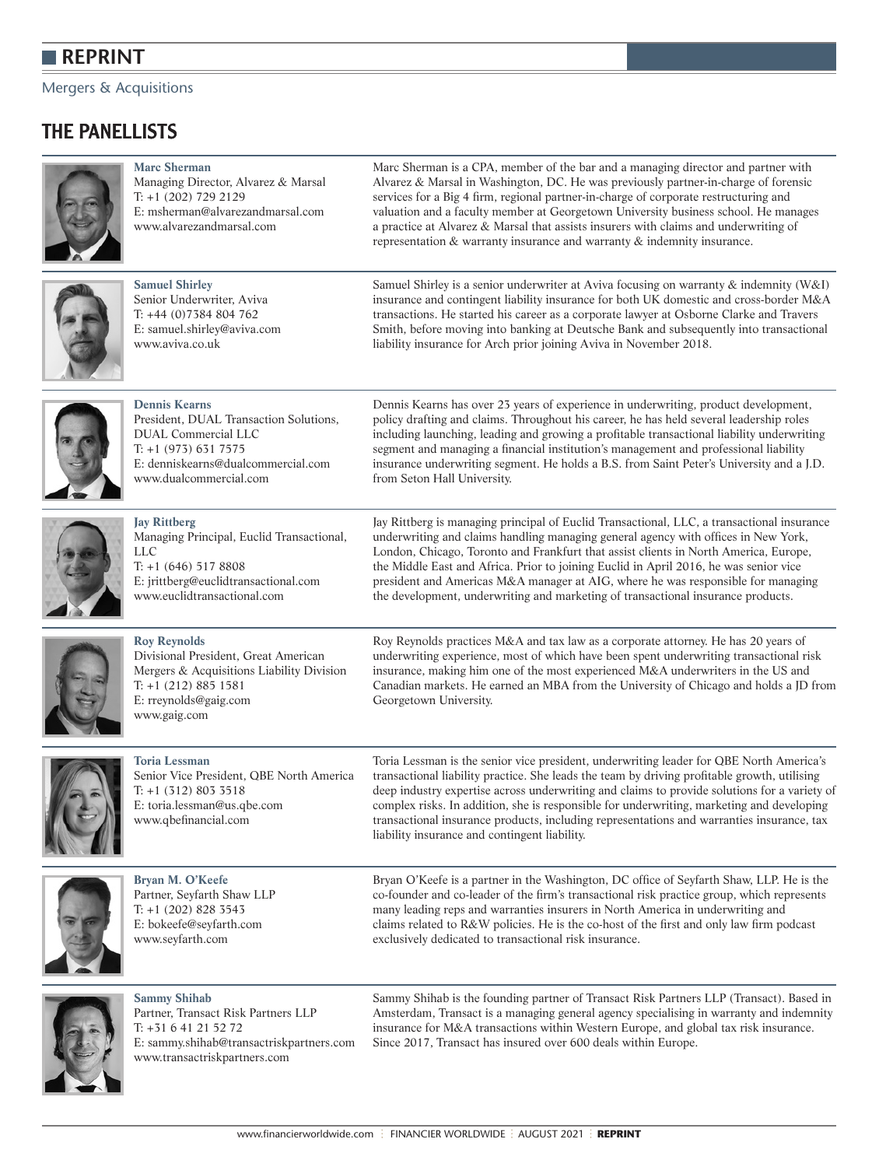#### Mergers & Acquisitions

# THE PANELLISTS



**[Marc Sherman](https://www.alvarezandmarsal.com/our-people/marc-sherman)**  Managing Director, Alvarez & Marsal T: +1 (202) 729 2129 E: [msherman@alvarezandmarsal.com](mailto:msherman@alvarezandmarsal.com) [www.alvarezandmarsal.com](https://www.alvarezandmarsal.com/) 

Marc Sherman is a CPA, member of the bar and a managing director and partner with Alvarez & Marsal in Washington, DC. He was previously partner-in-charge of forensic services for a Big 4 firm, regional partner-in-charge of corporate restructuring and valuation and a faculty member at Georgetown University business school. He manages a practice at Alvarez & Marsal that assists insurers with claims and underwriting of representation & warranty insurance and warranty & indemnity insurance.



**[Samuel Shirley](https://www.aviva.co.uk/)**  Senior Underwriter, Aviva T: +44 (0)7384 804 762 E: [samuel.shirley@aviva.com](mailto:samuel.shirley@aviva.com) [www.aviva.co.uk](https://www.aviva.co.uk/) 

Samuel Shirley is a senior underwriter at Aviva focusing on warranty & indemnity (W&I) insurance and contingent liability insurance for both UK domestic and cross-border M&A transactions. He started his career as a corporate lawyer at Osborne Clarke and Travers Smith, before moving into banking at Deutsche Bank and subsequently into transactional liability insurance for Arch prior joining Aviva in November 2018.



**[Dennis Kearns](https://www.dualcommercial.com/)** President, DUAL Transaction Solutions, DUAL Commercial LLC T: +1 (973) 631 7575 E: [denniskearns@dualcommercial.com](mailto:denniskearns@dualcommercial.com) [www.dualcommercial.com](https://www.dualcommercial.com/)

Dennis Kearns has over 23 years of experience in underwriting, product development, policy drafting and claims. Throughout his career, he has held several leadership roles including launching, leading and growing a profitable transactional liability underwriting segment and managing a financial institution's management and professional liability insurance underwriting segment. He holds a B.S. from Saint Peter's University and a J.D. from Seton Hall University.



**[Jay Rittberg](https://euclidtransactional.com/about-us/)** Managing Principal, Euclid Transactional, LLC T: +1 (646) 517 8808 E: [jrittberg@euclidtransactional.com](mailto:jrittberg@euclidtransactional.com) [www.euclidtransactional.com](https://euclidtransactional.com/)

Jay Rittberg is managing principal of Euclid Transactional, LLC, a transactional insurance underwriting and claims handling managing general agency with offices in New York, London, Chicago, Toronto and Frankfurt that assist clients in North America, Europe, the Middle East and Africa. Prior to joining Euclid in April 2016, he was senior vice president and Americas M&A manager at AIG, where he was responsible for managing the development, underwriting and marketing of transactional insurance products.



**[Roy Reynolds](https://www.greatamericaninsurancegroup.com//)**  Divisional President, Great American Mergers & Acquisitions Liability Division T: +1 (212) 885 1581 E: [rreynolds@gaig.com](mailto:rreynolds@gaig.com) [www.gaig.com](https://www.greatamericaninsurancegroup.com//)

Roy Reynolds practices M&A and tax law as a corporate attorney. He has 20 years of underwriting experience, most of which have been spent underwriting transactional risk insurance, making him one of the most experienced M&A underwriters in the US and Canadian markets. He earned an MBA from the University of Chicago and holds a JD from Georgetown University.



**[Toria Lessman](https://www.qbe.com/us/newsroom/press-releases/qbe-na-appoints-toria-lessman)** Senior Vice President, QBE North America T: +1 (312) 803 3518 E: [toria.lessman@us.qbe.com](mailto:toria.lessman@us.qbe.com )  [www.qbefinancial.com](https://www.qbe.com/us/qbefinancial) 

Toria Lessman is the senior vice president, underwriting leader for QBE North America's transactional liability practice. She leads the team by driving profitable growth, utilising deep industry expertise across underwriting and claims to provide solutions for a variety of complex risks. In addition, she is responsible for underwriting, marketing and developing transactional insurance products, including representations and warranties insurance, tax liability insurance and contingent liability.



**[Bryan M. O'Keefe](https://www.seyfarth.com/people/bryan-m-o-keefe.html)**  Partner, Seyfarth Shaw LLP T: +1 (202) 828 3543 E: [bokeefe@seyfarth.com](mailto:bokeefe@seyfarth.com) [www.seyfarth.com](https://www.seyfarth.com/) 

Bryan O'Keefe is a partner in the Washington, DC office of Seyfarth Shaw, LLP. He is the co-founder and co-leader of the firm's transactional risk practice group, which represents many leading reps and warranties insurers in North America in underwriting and claims related to R&W policies. He is the co-host of the first and only law firm podcast exclusively dedicated to transactional risk insurance.



**[Sammy Shihab](https://www.transactriskpartners.com/about)**  Partner, Transact Risk Partners LLP T: +31 6 41 21 52 72 E: [sammy.shihab@transactriskpartners.com](mailto:sammy.shihab@transactriskpartners.com) [www.transactriskpartners.com](https://www.transactriskpartners.com/)

Sammy Shihab is the founding partner of Transact Risk Partners LLP (Transact). Based in Amsterdam, Transact is a managing general agency specialising in warranty and indemnity insurance for M&A transactions within Western Europe, and global tax risk insurance. Since 2017, Transact has insured over 600 deals within Europe.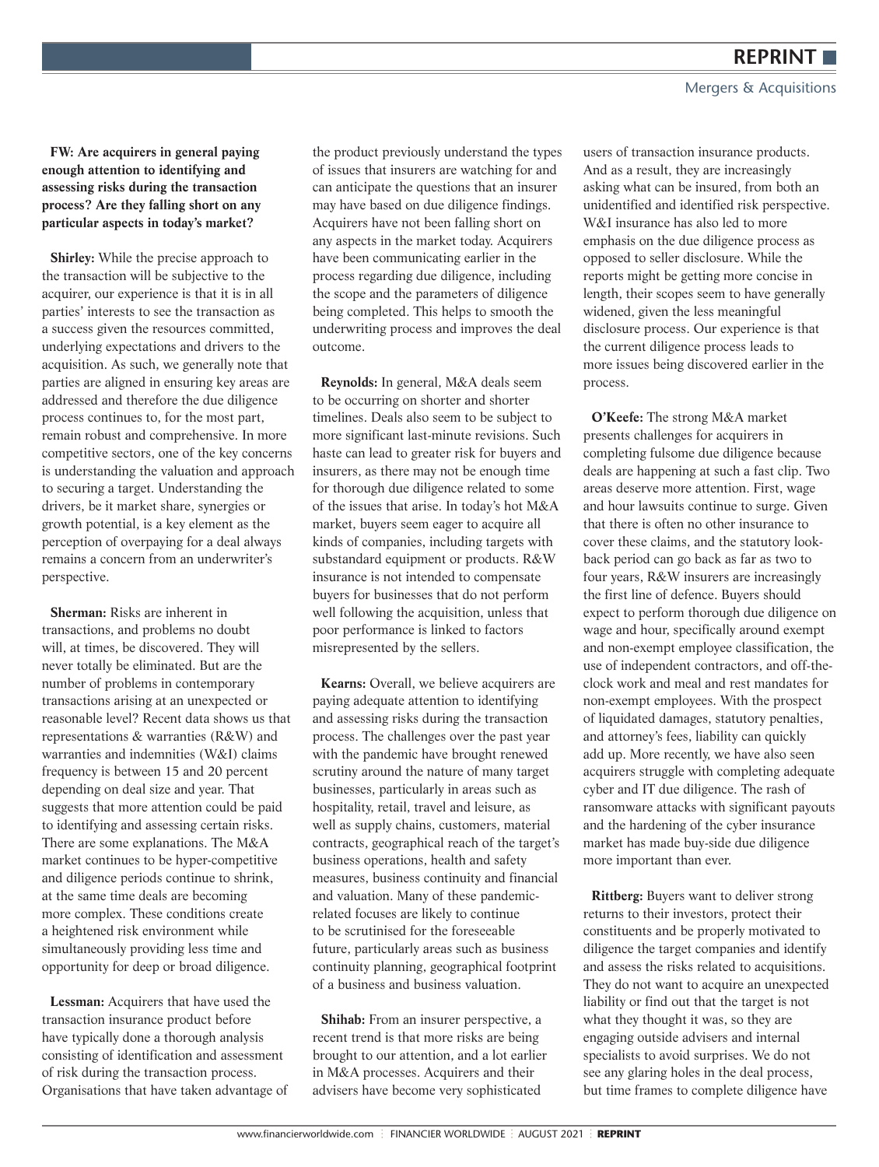**FW: Are acquirers in general paying enough attention to identifying and assessing risks during the transaction process? Are they falling short on any particular aspects in today's market?** 

**Shirley:** While the precise approach to the transaction will be subjective to the acquirer, our experience is that it is in all parties' interests to see the transaction as a success given the resources committed, underlying expectations and drivers to the acquisition. As such, we generally note that parties are aligned in ensuring key areas are addressed and therefore the due diligence process continues to, for the most part, remain robust and comprehensive. In more competitive sectors, one of the key concerns is understanding the valuation and approach to securing a target. Understanding the drivers, be it market share, synergies or growth potential, is a key element as the perception of overpaying for a deal always remains a concern from an underwriter's perspective.

**Sherman:** Risks are inherent in transactions, and problems no doubt will, at times, be discovered. They will never totally be eliminated. But are the number of problems in contemporary transactions arising at an unexpected or reasonable level? Recent data shows us that representations & warranties (R&W) and warranties and indemnities (W&I) claims frequency is between 15 and 20 percent depending on deal size and year. That suggests that more attention could be paid to identifying and assessing certain risks. There are some explanations. The M&A market continues to be hyper-competitive and diligence periods continue to shrink, at the same time deals are becoming more complex. These conditions create a heightened risk environment while simultaneously providing less time and opportunity for deep or broad diligence.

**Lessman:** Acquirers that have used the transaction insurance product before have typically done a thorough analysis consisting of identification and assessment of risk during the transaction process. Organisations that have taken advantage of the product previously understand the types of issues that insurers are watching for and can anticipate the questions that an insurer may have based on due diligence findings. Acquirers have not been falling short on any aspects in the market today. Acquirers have been communicating earlier in the process regarding due diligence, including the scope and the parameters of diligence being completed. This helps to smooth the underwriting process and improves the deal outcome.

**Reynolds:** In general, M&A deals seem to be occurring on shorter and shorter timelines. Deals also seem to be subject to more significant last-minute revisions. Such haste can lead to greater risk for buyers and insurers, as there may not be enough time for thorough due diligence related to some of the issues that arise. In today's hot M&A market, buyers seem eager to acquire all kinds of companies, including targets with substandard equipment or products. R&W insurance is not intended to compensate buyers for businesses that do not perform well following the acquisition, unless that poor performance is linked to factors misrepresented by the sellers.

**Kearns:** Overall, we believe acquirers are paying adequate attention to identifying and assessing risks during the transaction process. The challenges over the past year with the pandemic have brought renewed scrutiny around the nature of many target businesses, particularly in areas such as hospitality, retail, travel and leisure, as well as supply chains, customers, material contracts, geographical reach of the target's business operations, health and safety measures, business continuity and financial and valuation. Many of these pandemicrelated focuses are likely to continue to be scrutinised for the foreseeable future, particularly areas such as business continuity planning, geographical footprint of a business and business valuation.

**Shihab:** From an insurer perspective, a recent trend is that more risks are being brought to our attention, and a lot earlier in M&A processes. Acquirers and their advisers have become very sophisticated

users of transaction insurance products. And as a result, they are increasingly asking what can be insured, from both an unidentified and identified risk perspective. W&I insurance has also led to more emphasis on the due diligence process as opposed to seller disclosure. While the reports might be getting more concise in length, their scopes seem to have generally widened, given the less meaningful disclosure process. Our experience is that the current diligence process leads to more issues being discovered earlier in the process.

**O'Keefe:** The strong M&A market presents challenges for acquirers in completing fulsome due diligence because deals are happening at such a fast clip. Two areas deserve more attention. First, wage and hour lawsuits continue to surge. Given that there is often no other insurance to cover these claims, and the statutory lookback period can go back as far as two to four years, R&W insurers are increasingly the first line of defence. Buyers should expect to perform thorough due diligence on wage and hour, specifically around exempt and non-exempt employee classification, the use of independent contractors, and off-theclock work and meal and rest mandates for non-exempt employees. With the prospect of liquidated damages, statutory penalties, and attorney's fees, liability can quickly add up. More recently, we have also seen acquirers struggle with completing adequate cyber and IT due diligence. The rash of ransomware attacks with significant payouts and the hardening of the cyber insurance market has made buy-side due diligence more important than ever.

**Rittberg:** Buyers want to deliver strong returns to their investors, protect their constituents and be properly motivated to diligence the target companies and identify and assess the risks related to acquisitions. They do not want to acquire an unexpected liability or find out that the target is not what they thought it was, so they are engaging outside advisers and internal specialists to avoid surprises. We do not see any glaring holes in the deal process, but time frames to complete diligence have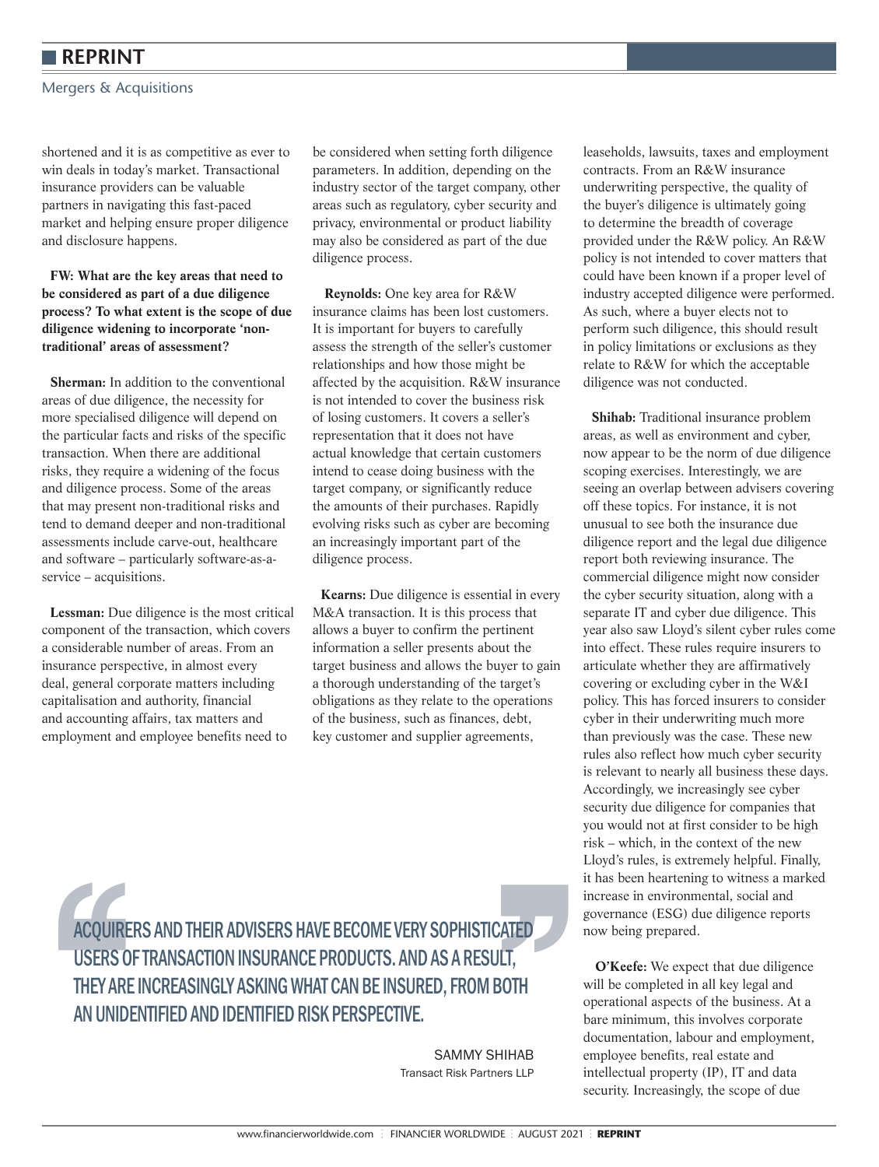Mergers & Acquisitions

shortened and it is as competitive as ever to win deals in today's market. Transactional insurance providers can be valuable partners in navigating this fast-paced market and helping ensure proper diligence and disclosure happens.

#### **FW: What are the key areas that need to be considered as part of a due diligence process? To what extent is the scope of due diligence widening to incorporate 'nontraditional' areas of assessment?**

**Sherman:** In addition to the conventional areas of due diligence, the necessity for more specialised diligence will depend on the particular facts and risks of the specific transaction. When there are additional risks, they require a widening of the focus and diligence process. Some of the areas that may present non-traditional risks and tend to demand deeper and non-traditional assessments include carve-out, healthcare and software – particularly software-as-aservice – acquisitions.

**Lessman:** Due diligence is the most critical component of the transaction, which covers a considerable number of areas. From an insurance perspective, in almost every deal, general corporate matters including capitalisation and authority, financial and accounting affairs, tax matters and employment and employee benefits need to

be considered when setting forth diligence parameters. In addition, depending on the industry sector of the target company, other areas such as regulatory, cyber security and privacy, environmental or product liability may also be considered as part of the due diligence process.

 **Reynolds:** One key area for R&W insurance claims has been lost customers. It is important for buyers to carefully assess the strength of the seller's customer relationships and how those might be affected by the acquisition. R&W insurance is not intended to cover the business risk of losing customers. It covers a seller's representation that it does not have actual knowledge that certain customers intend to cease doing business with the target company, or significantly reduce the amounts of their purchases. Rapidly evolving risks such as cyber are becoming an increasingly important part of the diligence process.

**Kearns:** Due diligence is essential in every M&A transaction. It is this process that allows a buyer to confirm the pertinent information a seller presents about the target business and allows the buyer to gain a thorough understanding of the target's obligations as they relate to the operations of the business, such as finances, debt, key customer and supplier agreements,

leaseholds, lawsuits, taxes and employment contracts. From an R&W insurance underwriting perspective, the quality of the buyer's diligence is ultimately going to determine the breadth of coverage provided under the R&W policy. An R&W policy is not intended to cover matters that could have been known if a proper level of industry accepted diligence were performed. As such, where a buyer elects not to perform such diligence, this should result in policy limitations or exclusions as they relate to R&W for which the acceptable diligence was not conducted.

**Shihab:** Traditional insurance problem areas, as well as environment and cyber, now appear to be the norm of due diligence scoping exercises. Interestingly, we are seeing an overlap between advisers covering off these topics. For instance, it is not unusual to see both the insurance due diligence report and the legal due diligence report both reviewing insurance. The commercial diligence might now consider the cyber security situation, along with a separate IT and cyber due diligence. This year also saw Lloyd's silent cyber rules come into effect. These rules require insurers to articulate whether they are affirmatively covering or excluding cyber in the W&I policy. This has forced insurers to consider cyber in their underwriting much more than previously was the case. These new rules also reflect how much cyber security is relevant to nearly all business these days. Accordingly, we increasingly see cyber security due diligence for companies that you would not at first consider to be high risk – which, in the context of the new Lloyd's rules, is extremely helpful. Finally, it has been heartening to witness a marked increase in environmental, social and governance (ESG) due diligence reports now being prepared.

 **O'Keefe:** We expect that due diligence will be completed in all key legal and operational aspects of the business. At a bare minimum, this involves corporate documentation, labour and employment, employee benefits, real estate and intellectual property (IP), IT and data security. Increasingly, the scope of due

ACQUIRERS AND THEIR ADVISERS HAVE BECOME VERY SOPHISTICATED<br>USERS OF TRANSACTION INSURANCE PRODUCTS. AND AS A RESULT,<br>THEY ARE INCREASINGLY ASKING WHAT CAN BE INSURED, FROM BOTH<br>AN UNIDENTIFIED AND IDENTIFIED RISK PERSPECT ACQUIRERS AND THEIR ADVISERS HAVE BECOME VERY SOPHISTICATED USERS OF TRANSACTION INSURANCE PRODUCTS. AND AS A RESULT, THEY ARE INCREASINGLY ASKING WHAT CAN BE INSURED, FROM BOTH AN UNIDENTIFIED AND IDENTIFIED RISK PERSPECTIVE.

SAMMY SHIHAB Transact Risk Partners LLP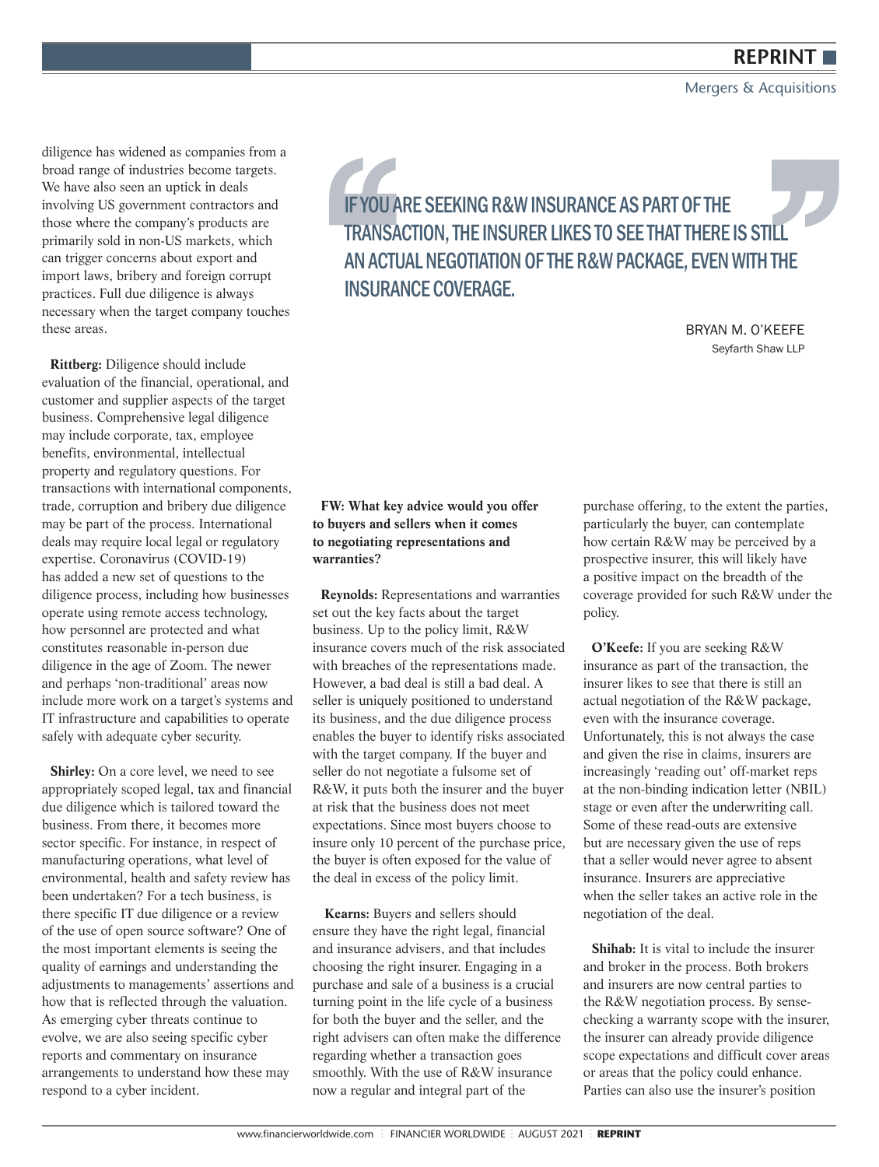Mergers & Acquisitions

diligence has widened as companies from a broad range of industries become targets. We have also seen an uptick in deals involving US government contractors and those where the company's products are primarily sold in non-US markets, which can trigger concerns about export and import laws, bribery and foreign corrupt practices. Full due diligence is always necessary when the target company touches these areas.

**Rittberg:** Diligence should include evaluation of the financial, operational, and customer and supplier aspects of the target business. Comprehensive legal diligence may include corporate, tax, employee benefits, environmental, intellectual property and regulatory questions. For transactions with international components, trade, corruption and bribery due diligence may be part of the process. International deals may require local legal or regulatory expertise. Coronavirus (COVID-19) has added a new set of questions to the diligence process, including how businesses operate using remote access technology, how personnel are protected and what constitutes reasonable in-person due diligence in the age of Zoom. The newer and perhaps 'non-traditional' areas now include more work on a target's systems and IT infrastructure and capabilities to operate safely with adequate cyber security.

Shirley: On a core level, we need to see appropriately scoped legal, tax and financial due diligence which is tailored toward the business. From there, it becomes more sector specific. For instance, in respect of manufacturing operations, what level of environmental, health and safety review has been undertaken? For a tech business, is there specific IT due diligence or a review of the use of open source software? One of the most important elements is seeing the quality of earnings and understanding the adjustments to managements' assertions and how that is reflected through the valuation. As emerging cyber threats continue to evolve, we are also seeing specific cyber reports and commentary on insurance arrangements to understand how these may respond to a cyber incident.

**IF YOU ARE SEEKING R&W INSURANCE AS PART OF THE<br>
TRANSACTION, THE INSURER LIKES TO SEE THAT THERE IS STILL<br>
AN ACTUAL NEGOTIATION OF THE R&W PACKAGE, EVEN WITH THE<br>
INSURANCE COVERAGE.<br>
BRYAN M. O'KEEFE<br>
Seyfarth Shaw LLP** TRANSACTION, THE INSURER LIKES TO SEE THAT THERE IS STILL AN ACTUAL NEGOTIATION OF THE R&W PACKAGE, EVEN WITH THE INSURANCE COVERAGE.

BRYAN M. O'KEEFE Seyfarth Shaw LLP

#### **FW: What key advice would you offer to buyers and sellers when it comes to negotiating representations and warranties?**

**Reynolds:** Representations and warranties set out the key facts about the target business. Up to the policy limit, R&W insurance covers much of the risk associated with breaches of the representations made. However, a bad deal is still a bad deal. A seller is uniquely positioned to understand its business, and the due diligence process enables the buyer to identify risks associated with the target company. If the buyer and seller do not negotiate a fulsome set of R&W, it puts both the insurer and the buyer at risk that the business does not meet expectations. Since most buyers choose to insure only 10 percent of the purchase price, the buyer is often exposed for the value of the deal in excess of the policy limit.

 **Kearns:** Buyers and sellers should ensure they have the right legal, financial and insurance advisers, and that includes choosing the right insurer. Engaging in a purchase and sale of a business is a crucial turning point in the life cycle of a business for both the buyer and the seller, and the right advisers can often make the difference regarding whether a transaction goes smoothly. With the use of R&W insurance now a regular and integral part of the

purchase offering, to the extent the parties, particularly the buyer, can contemplate how certain R&W may be perceived by a prospective insurer, this will likely have a positive impact on the breadth of the coverage provided for such R&W under the policy.

**O'Keefe:** If you are seeking R&W insurance as part of the transaction, the insurer likes to see that there is still an actual negotiation of the R&W package, even with the insurance coverage. Unfortunately, this is not always the case and given the rise in claims, insurers are increasingly 'reading out' off-market reps at the non-binding indication letter (NBIL) stage or even after the underwriting call. Some of these read-outs are extensive but are necessary given the use of reps that a seller would never agree to absent insurance. Insurers are appreciative when the seller takes an active role in the negotiation of the deal.

**Shihab:** It is vital to include the insurer and broker in the process. Both brokers and insurers are now central parties to the R&W negotiation process. By sensechecking a warranty scope with the insurer, the insurer can already provide diligence scope expectations and difficult cover areas or areas that the policy could enhance. Parties can also use the insurer's position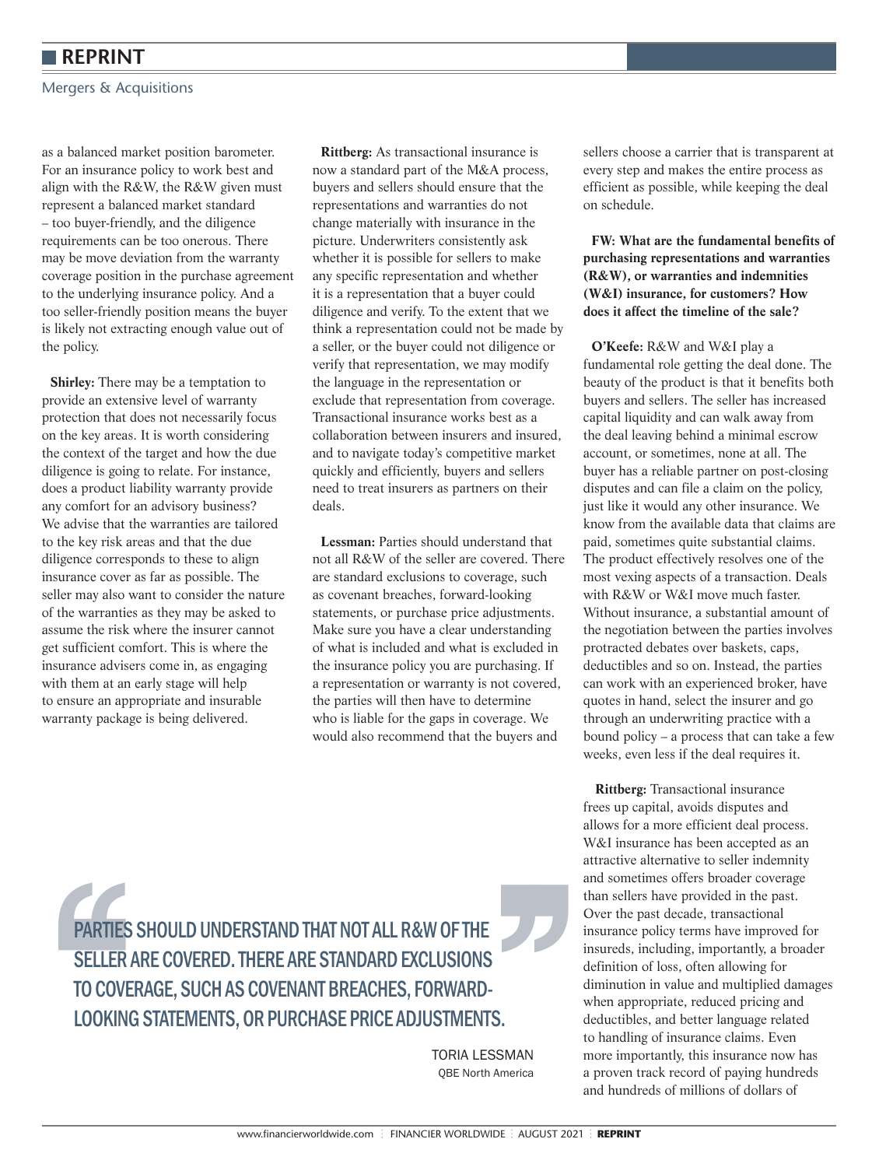Mergers & Acquisitions

as a balanced market position barometer. For an insurance policy to work best and align with the R&W, the R&W given must represent a balanced market standard – too buyer-friendly, and the diligence requirements can be too onerous. There may be move deviation from the warranty coverage position in the purchase agreement to the underlying insurance policy. And a too seller-friendly position means the buyer is likely not extracting enough value out of the policy.

**Shirley:** There may be a temptation to provide an extensive level of warranty protection that does not necessarily focus on the key areas. It is worth considering the context of the target and how the due diligence is going to relate. For instance, does a product liability warranty provide any comfort for an advisory business? We advise that the warranties are tailored to the key risk areas and that the due diligence corresponds to these to align insurance cover as far as possible. The seller may also want to consider the nature of the warranties as they may be asked to assume the risk where the insurer cannot get sufficient comfort. This is where the insurance advisers come in, as engaging with them at an early stage will help to ensure an appropriate and insurable warranty package is being delivered.

**Rittberg:** As transactional insurance is now a standard part of the M&A process, buyers and sellers should ensure that the representations and warranties do not change materially with insurance in the picture. Underwriters consistently ask whether it is possible for sellers to make any specific representation and whether it is a representation that a buyer could diligence and verify. To the extent that we think a representation could not be made by a seller, or the buyer could not diligence or verify that representation, we may modify the language in the representation or exclude that representation from coverage. Transactional insurance works best as a collaboration between insurers and insured, and to navigate today's competitive market quickly and efficiently, buyers and sellers need to treat insurers as partners on their deals.

**Lessman:** Parties should understand that not all R&W of the seller are covered. There are standard exclusions to coverage, such as covenant breaches, forward-looking statements, or purchase price adjustments. Make sure you have a clear understanding of what is included and what is excluded in the insurance policy you are purchasing. If a representation or warranty is not covered, the parties will then have to determine who is liable for the gaps in coverage. We would also recommend that the buyers and

sellers choose a carrier that is transparent at every step and makes the entire process as efficient as possible, while keeping the deal on schedule.

#### **FW: What are the fundamental benefits of purchasing representations and warranties (R&W), or warranties and indemnities (W&I) insurance, for customers? How does it affect the timeline of the sale?**

**O'Keefe:** R&W and W&I play a fundamental role getting the deal done. The beauty of the product is that it benefits both buyers and sellers. The seller has increased capital liquidity and can walk away from the deal leaving behind a minimal escrow account, or sometimes, none at all. The buyer has a reliable partner on post-closing disputes and can file a claim on the policy, just like it would any other insurance. We know from the available data that claims are paid, sometimes quite substantial claims. The product effectively resolves one of the most vexing aspects of a transaction. Deals with R&W or W&I move much faster. Without insurance, a substantial amount of the negotiation between the parties involves protracted debates over baskets, caps, deductibles and so on. Instead, the parties can work with an experienced broker, have quotes in hand, select the insurer and go through an underwriting practice with a bound policy – a process that can take a few weeks, even less if the deal requires it.

**Rittberg:** Transactional insurance frees up capital, avoids disputes and allows for a more efficient deal process. W&I insurance has been accepted as an attractive alternative to seller indemnity and sometimes offers broader coverage than sellers have provided in the past. Over the past decade, transactional insurance policy terms have improved for insureds, including, importantly, a broader definition of loss, often allowing for diminution in value and multiplied damages when appropriate, reduced pricing and deductibles, and better language related to handling of insurance claims. Even more importantly, this insurance now has a proven track record of paying hundreds and hundreds of millions of dollars of

PARTIES SHOULD UNDERSTAND THAT NOT ALL R&W OF THE<br>
SELLER ARE COVERED. THERE ARE STANDARD EXCLUSIONS<br>
TO COVERAGE, SUCH AS COVENANT BREACHES, FORWARD-<br>
LOOKING STATEMENTS, OR PURCHASE PRICE ADJUSTMENTS.<br>
TORIA LESSMAN<br>
QBE PARTIES SHOULD UNDERSTAND THAT NOT ALL R&W OF THE SELLER ARE COVERED. THERE ARE STANDARD EXCLUSIONS TO COVERAGE, SUCH AS COVENANT BREACHES, FORWARD-LOOKING STATEMENTS, OR PURCHASE PRICE ADJUSTMENTS.

TORIA LESSMAN **OBE North America**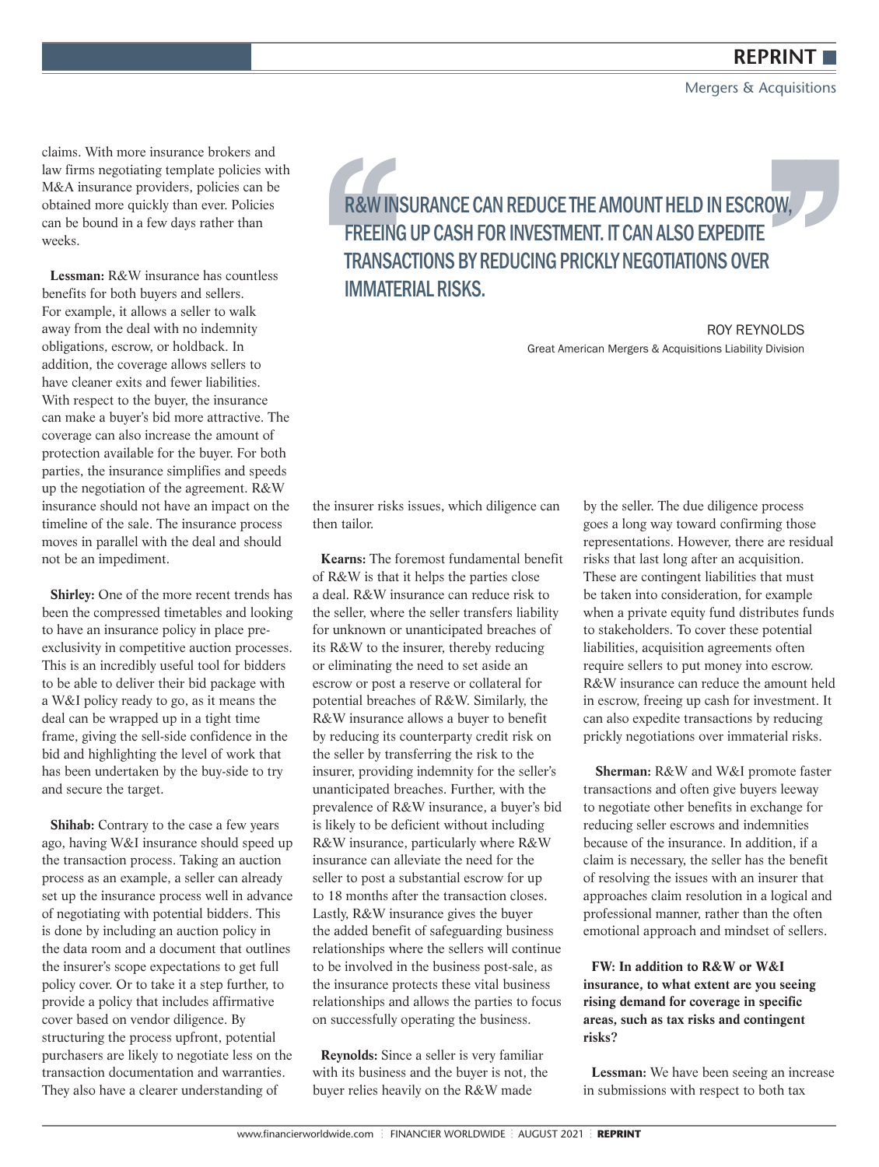Mergers & Acquisitions

claims. With more insurance brokers and law firms negotiating template policies with M&A insurance providers, policies can be obtained more quickly than ever. Policies can be bound in a few days rather than weeks.

**Lessman:** R&W insurance has countless benefits for both buyers and sellers. For example, it allows a seller to walk away from the deal with no indemnity obligations, escrow, or holdback. In addition, the coverage allows sellers to have cleaner exits and fewer liabilities. With respect to the buyer, the insurance can make a buyer's bid more attractive. The coverage can also increase the amount of protection available for the buyer. For both parties, the insurance simplifies and speeds up the negotiation of the agreement. R&W insurance should not have an impact on the timeline of the sale. The insurance process moves in parallel with the deal and should not be an impediment.

**Shirley:** One of the more recent trends has been the compressed timetables and looking to have an insurance policy in place preexclusivity in competitive auction processes. This is an incredibly useful tool for bidders to be able to deliver their bid package with a W&I policy ready to go, as it means the deal can be wrapped up in a tight time frame, giving the sell-side confidence in the bid and highlighting the level of work that has been undertaken by the buy-side to try and secure the target.

**Shihab:** Contrary to the case a few years ago, having W&I insurance should speed up the transaction process. Taking an auction process as an example, a seller can already set up the insurance process well in advance of negotiating with potential bidders. This is done by including an auction policy in the data room and a document that outlines the insurer's scope expectations to get full policy cover. Or to take it a step further, to provide a policy that includes affirmative cover based on vendor diligence. By structuring the process upfront, potential purchasers are likely to negotiate less on the transaction documentation and warranties. They also have a clearer understanding of

**R&W INSURANCE CAN REDUCE THE AMOUNT HELD IN ESCROW,<br>
FREEING UP CASH FOR INVESTMENT. IT CAN ALSO EXPEDITE<br>
TRANSACTIONS BY REDUCING PRICKLY NEGOTIATIONS OVER<br>
IMMATERIAL RISKS.<br>
Steat American Mergers & Acquisitions Liabi** FREEING UP CASH FOR INVESTMENT. IT CAN ALSO EXPEDITE TRANSACTIONS BY REDUCING PRICKLY NEGOTIATIONS OVER IMMATERIAL RISKS.

ROY REYNOLDS Great American Mergers & Acquisitions Liability Division

the insurer risks issues, which diligence can then tailor.

**Kearns:** The foremost fundamental benefit of R&W is that it helps the parties close a deal. R&W insurance can reduce risk to the seller, where the seller transfers liability for unknown or unanticipated breaches of its R&W to the insurer, thereby reducing or eliminating the need to set aside an escrow or post a reserve or collateral for potential breaches of R&W. Similarly, the R&W insurance allows a buyer to benefit by reducing its counterparty credit risk on the seller by transferring the risk to the insurer, providing indemnity for the seller's unanticipated breaches. Further, with the prevalence of R&W insurance, a buyer's bid is likely to be deficient without including R&W insurance, particularly where R&W insurance can alleviate the need for the seller to post a substantial escrow for up to 18 months after the transaction closes. Lastly, R&W insurance gives the buyer the added benefit of safeguarding business relationships where the sellers will continue to be involved in the business post-sale, as the insurance protects these vital business relationships and allows the parties to focus on successfully operating the business.

**Reynolds:** Since a seller is very familiar with its business and the buyer is not, the buyer relies heavily on the R&W made

by the seller. The due diligence process goes a long way toward confirming those representations. However, there are residual risks that last long after an acquisition. These are contingent liabilities that must be taken into consideration, for example when a private equity fund distributes funds to stakeholders. To cover these potential liabilities, acquisition agreements often require sellers to put money into escrow. R&W insurance can reduce the amount held in escrow, freeing up cash for investment. It can also expedite transactions by reducing prickly negotiations over immaterial risks.

 **Sherman:** R&W and W&I promote faster transactions and often give buyers leeway to negotiate other benefits in exchange for reducing seller escrows and indemnities because of the insurance. In addition, if a claim is necessary, the seller has the benefit of resolving the issues with an insurer that approaches claim resolution in a logical and professional manner, rather than the often emotional approach and mindset of sellers.

**FW: In addition to R&W or W&I insurance, to what extent are you seeing rising demand for coverage in specific areas, such as tax risks and contingent risks?** 

**Lessman:** We have been seeing an increase in submissions with respect to both tax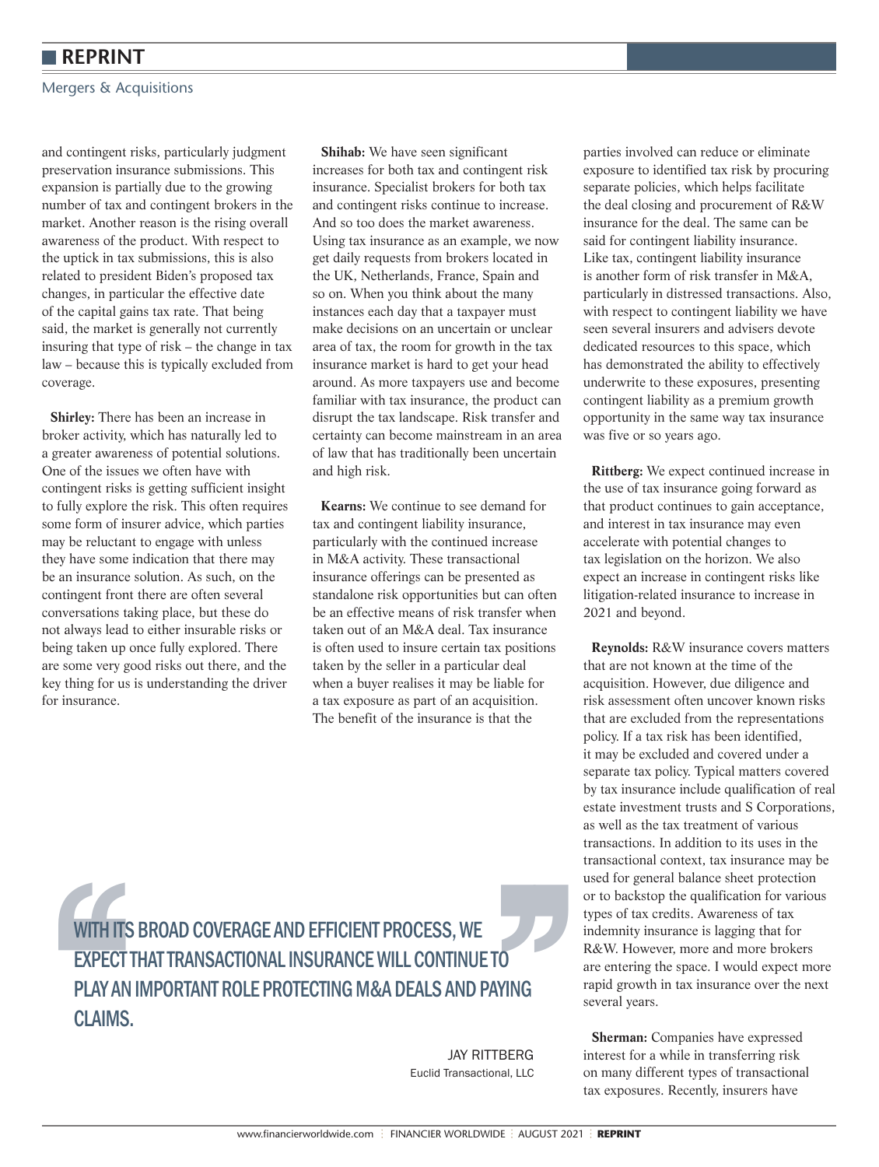#### Mergers & Acquisitions

and contingent risks, particularly judgment preservation insurance submissions. This expansion is partially due to the growing number of tax and contingent brokers in the market. Another reason is the rising overall awareness of the product. With respect to the uptick in tax submissions, this is also related to president Biden's proposed tax changes, in particular the effective date of the capital gains tax rate. That being said, the market is generally not currently insuring that type of risk – the change in tax law – because this is typically excluded from coverage.

**Shirley:** There has been an increase in broker activity, which has naturally led to a greater awareness of potential solutions. One of the issues we often have with contingent risks is getting sufficient insight to fully explore the risk. This often requires some form of insurer advice, which parties may be reluctant to engage with unless they have some indication that there may be an insurance solution. As such, on the contingent front there are often several conversations taking place, but these do not always lead to either insurable risks or being taken up once fully explored. There are some very good risks out there, and the key thing for us is understanding the driver for insurance.

**Shihab:** We have seen significant increases for both tax and contingent risk insurance. Specialist brokers for both tax and contingent risks continue to increase. And so too does the market awareness. Using tax insurance as an example, we now get daily requests from brokers located in the UK, Netherlands, France, Spain and so on. When you think about the many instances each day that a taxpayer must make decisions on an uncertain or unclear area of tax, the room for growth in the tax insurance market is hard to get your head around. As more taxpayers use and become familiar with tax insurance, the product can disrupt the tax landscape. Risk transfer and certainty can become mainstream in an area of law that has traditionally been uncertain and high risk.

**Kearns:** We continue to see demand for tax and contingent liability insurance, particularly with the continued increase in M&A activity. These transactional insurance offerings can be presented as standalone risk opportunities but can often be an effective means of risk transfer when taken out of an M&A deal. Tax insurance is often used to insure certain tax positions taken by the seller in a particular deal when a buyer realises it may be liable for a tax exposure as part of an acquisition. The benefit of the insurance is that the

parties involved can reduce or eliminate exposure to identified tax risk by procuring separate policies, which helps facilitate the deal closing and procurement of R&W insurance for the deal. The same can be said for contingent liability insurance. Like tax, contingent liability insurance is another form of risk transfer in M&A, particularly in distressed transactions. Also, with respect to contingent liability we have seen several insurers and advisers devote dedicated resources to this space, which has demonstrated the ability to effectively underwrite to these exposures, presenting contingent liability as a premium growth opportunity in the same way tax insurance was five or so years ago.

**Rittberg:** We expect continued increase in the use of tax insurance going forward as that product continues to gain acceptance, and interest in tax insurance may even accelerate with potential changes to tax legislation on the horizon. We also expect an increase in contingent risks like litigation-related insurance to increase in 2021 and beyond.

**Reynolds:** R&W insurance covers matters that are not known at the time of the acquisition. However, due diligence and risk assessment often uncover known risks that are excluded from the representations policy. If a tax risk has been identified, it may be excluded and covered under a separate tax policy. Typical matters covered by tax insurance include qualification of real estate investment trusts and S Corporations, as well as the tax treatment of various transactions. In addition to its uses in the transactional context, tax insurance may be used for general balance sheet protection or to backstop the qualification for various types of tax credits. Awareness of tax indemnity insurance is lagging that for R&W. However, more and more brokers are entering the space. I would expect more rapid growth in tax insurance over the next several years.

**Sherman:** Companies have expressed interest for a while in transferring risk on many different types of transactional tax exposures. Recently, insurers have

WITH ITS BROAD COVERAGE AND EFFICIENT PROCESS, WE<br>
EXPECT THAT TRANSACTIONAL INSURANCE WILL CONTINUE TO<br>
PLAY AN IMPORTANT ROLE PROTECTING M&A DEALS AND PAYING<br>
CLAIMS.<br>
SAY RITTBERG<br>
Euclid Transactional, LLC WITH ITS BROAD COVERAGE AND EFFICIENT PROCESS, WE EXPECT THAT TRANSACTIONAL INSURANCE WILL CONTINUE TO PLAY AN IMPORTANT ROLE PROTECTING M&A DEALS AND PAYING CLAIMS.

JAY RITTBERG Euclid Transactional, LLC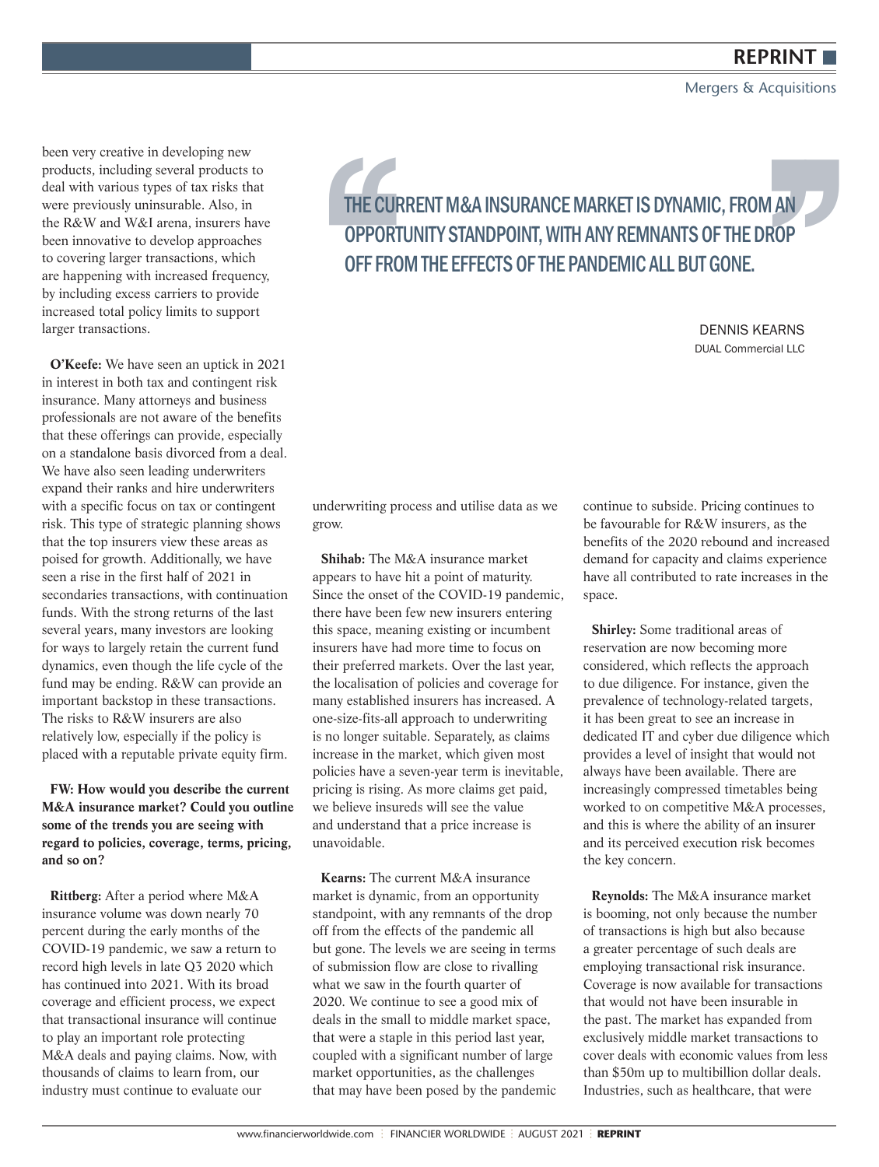#### Mergers & Acquisitions

been very creative in developing new products, including several products to deal with various types of tax risks that were previously uninsurable. Also, in the R&W and W&I arena, insurers have been innovative to develop approaches to covering larger transactions, which are happening with increased frequency, by including excess carriers to provide increased total policy limits to support larger transactions.

**O'Keefe:** We have seen an uptick in 2021 in interest in both tax and contingent risk insurance. Many attorneys and business professionals are not aware of the benefits that these offerings can provide, especially on a standalone basis divorced from a deal. We have also seen leading underwriters expand their ranks and hire underwriters with a specific focus on tax or contingent risk. This type of strategic planning shows that the top insurers view these areas as poised for growth. Additionally, we have seen a rise in the first half of 2021 in secondaries transactions, with continuation funds. With the strong returns of the last several years, many investors are looking for ways to largely retain the current fund dynamics, even though the life cycle of the fund may be ending. R&W can provide an important backstop in these transactions. The risks to R&W insurers are also relatively low, especially if the policy is placed with a reputable private equity firm.

**FW: How would you describe the current M&A insurance market? Could you outline some of the trends you are seeing with regard to policies, coverage, terms, pricing, and so on?** 

**Rittberg:** After a period where M&A insurance volume was down nearly 70 percent during the early months of the COVID-19 pandemic, we saw a return to record high levels in late Q3 2020 which has continued into 2021. With its broad coverage and efficient process, we expect that transactional insurance will continue to play an important role protecting M&A deals and paying claims. Now, with thousands of claims to learn from, our industry must continue to evaluate our

THE CURRENT M&A INSURANCE MARKET IS DYNAMIC, FROM AN OPPORTUNITY STANDPOINT, WITH ANY REMNANTS OF THE DROP<br>OFF FROM THE EFFECTS OF THE PANDEMIC ALL BUT GONE.<br>DENNIS KEARNS DUAL Commercial LLC OPPORTUNITY STANDPOINT, WITH ANY REMNANTS OF THE DROP OFF FROM THE EFFECTS OF THE PANDEMIC ALL BUT GONE.

DENNIS KEARNS DUAL Commercial LLC

underwriting process and utilise data as we grow.

**Shihab:** The M&A insurance market appears to have hit a point of maturity. Since the onset of the COVID-19 pandemic, there have been few new insurers entering this space, meaning existing or incumbent insurers have had more time to focus on their preferred markets. Over the last year, the localisation of policies and coverage for many established insurers has increased. A one-size-fits-all approach to underwriting is no longer suitable. Separately, as claims increase in the market, which given most policies have a seven-year term is inevitable, pricing is rising. As more claims get paid, we believe insureds will see the value and understand that a price increase is unavoidable.

**Kearns:** The current M&A insurance market is dynamic, from an opportunity standpoint, with any remnants of the drop off from the effects of the pandemic all but gone. The levels we are seeing in terms of submission flow are close to rivalling what we saw in the fourth quarter of 2020. We continue to see a good mix of deals in the small to middle market space, that were a staple in this period last year, coupled with a significant number of large market opportunities, as the challenges that may have been posed by the pandemic continue to subside. Pricing continues to be favourable for R&W insurers, as the benefits of the 2020 rebound and increased demand for capacity and claims experience have all contributed to rate increases in the space.

**Shirley:** Some traditional areas of reservation are now becoming more considered, which reflects the approach to due diligence. For instance, given the prevalence of technology-related targets, it has been great to see an increase in dedicated IT and cyber due diligence which provides a level of insight that would not always have been available. There are increasingly compressed timetables being worked to on competitive M&A processes, and this is where the ability of an insurer and its perceived execution risk becomes the key concern.

**Reynolds:** The M&A insurance market is booming, not only because the number of transactions is high but also because a greater percentage of such deals are employing transactional risk insurance. Coverage is now available for transactions that would not have been insurable in the past. The market has expanded from exclusively middle market transactions to cover deals with economic values from less than \$50m up to multibillion dollar deals. Industries, such as healthcare, that were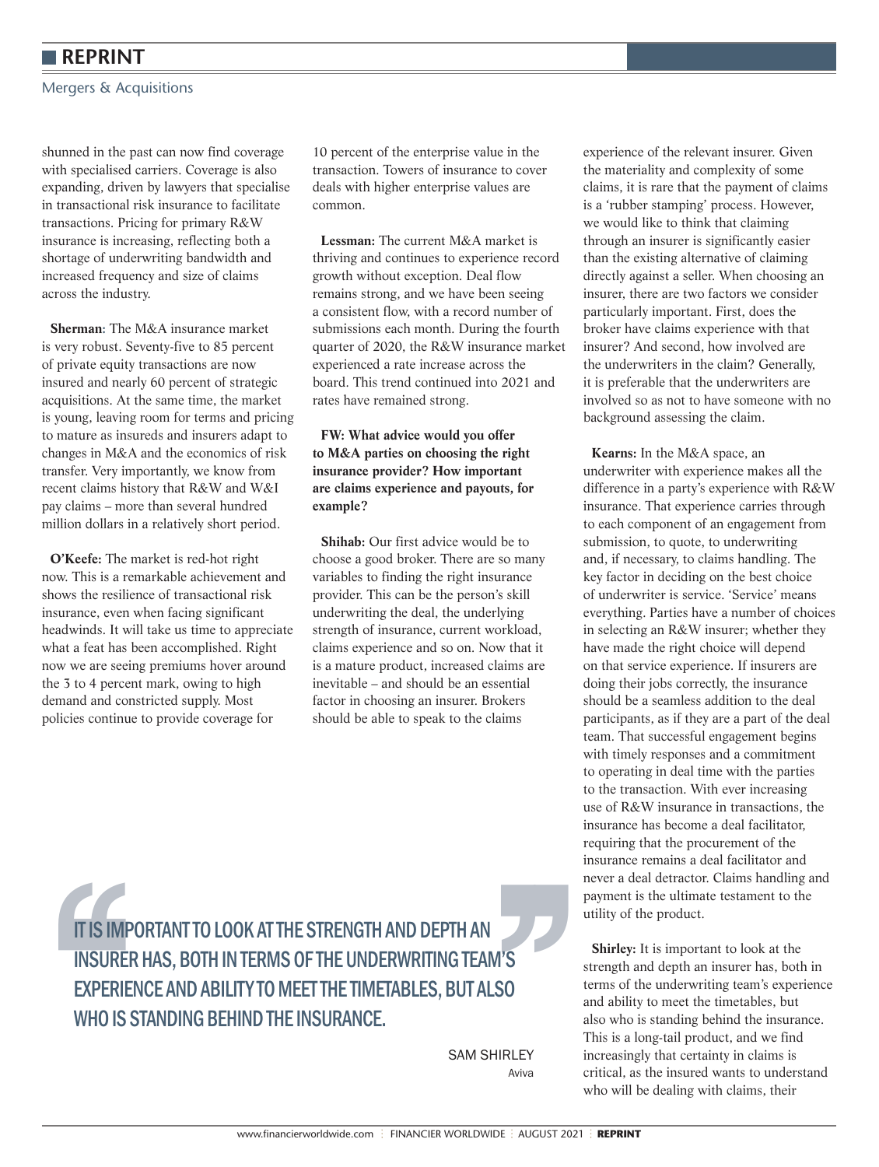Mergers & Acquisitions

shunned in the past can now find coverage with specialised carriers. Coverage is also expanding, driven by lawyers that specialise in transactional risk insurance to facilitate transactions. Pricing for primary R&W insurance is increasing, reflecting both a shortage of underwriting bandwidth and increased frequency and size of claims across the industry.

**Sherman:** The M&A insurance market is very robust. Seventy-five to 85 percent of private equity transactions are now insured and nearly 60 percent of strategic acquisitions. At the same time, the market is young, leaving room for terms and pricing to mature as insureds and insurers adapt to changes in M&A and the economics of risk transfer. Very importantly, we know from recent claims history that R&W and W&I pay claims – more than several hundred million dollars in a relatively short period.

**O'Keefe:** The market is red-hot right now. This is a remarkable achievement and shows the resilience of transactional risk insurance, even when facing significant headwinds. It will take us time to appreciate what a feat has been accomplished. Right now we are seeing premiums hover around the 3 to 4 percent mark, owing to high demand and constricted supply. Most policies continue to provide coverage for

10 percent of the enterprise value in the transaction. Towers of insurance to cover deals with higher enterprise values are common.

**Lessman:** The current M&A market is thriving and continues to experience record growth without exception. Deal flow remains strong, and we have been seeing a consistent flow, with a record number of submissions each month. During the fourth quarter of 2020, the R&W insurance market experienced a rate increase across the board. This trend continued into 2021 and rates have remained strong.

#### **FW: What advice would you offer to M&A parties on choosing the right insurance provider? How important are claims experience and payouts, for example?**

**Shihab:** Our first advice would be to choose a good broker. There are so many variables to finding the right insurance provider. This can be the person's skill underwriting the deal, the underlying strength of insurance, current workload, claims experience and so on. Now that it is a mature product, increased claims are inevitable – and should be an essential factor in choosing an insurer. Brokers should be able to speak to the claims

experience of the relevant insurer. Given the materiality and complexity of some claims, it is rare that the payment of claims is a 'rubber stamping' process. However, we would like to think that claiming through an insurer is significantly easier than the existing alternative of claiming directly against a seller. When choosing an insurer, there are two factors we consider particularly important. First, does the broker have claims experience with that insurer? And second, how involved are the underwriters in the claim? Generally, it is preferable that the underwriters are involved so as not to have someone with no background assessing the claim.

**Kearns:** In the M&A space, an underwriter with experience makes all the difference in a party's experience with R&W insurance. That experience carries through to each component of an engagement from submission, to quote, to underwriting and, if necessary, to claims handling. The key factor in deciding on the best choice of underwriter is service. 'Service' means everything. Parties have a number of choices in selecting an R&W insurer; whether they have made the right choice will depend on that service experience. If insurers are doing their jobs correctly, the insurance should be a seamless addition to the deal participants, as if they are a part of the deal team. That successful engagement begins with timely responses and a commitment to operating in deal time with the parties to the transaction. With ever increasing use of R&W insurance in transactions, the insurance has become a deal facilitator, requiring that the procurement of the insurance remains a deal facilitator and never a deal detractor. Claims handling and payment is the ultimate testament to the utility of the product.

**Shirley:** It is important to look at the strength and depth an insurer has, both in terms of the underwriting team's experience and ability to meet the timetables, but also who is standing behind the insurance. This is a long-tail product, and we find increasingly that certainty in claims is critical, as the insured wants to understand who will be dealing with claims, their

**IT IS IMPORTANT TO LOOK AT THE STRENGTH AND DEPTH AN<br>
INSURER HAS, BOTH IN TERMS OF THE UNDERWRITING TEAM'S<br>
EXPERIENCE AND ABILITY TO MEET THE TIMETABLES, BUT ALSO<br>
WHO IS STANDING BEHIND THE INSURANCE.<br>
SAM SHIRLEY<br>
ANY** IT IS IMPORTANT TO LOOK AT THE STRENGTH AND DEPTH AN INSURER HAS, BOTH IN TERMS OF THE UNDERWRITING TEAM'S EXPERIENCE AND ABILITY TO MEET THE TIMETABLES, BUT ALSO WHO IS STANDING BEHIND THE INSURANCE.

SAM SHIRLEY Aviva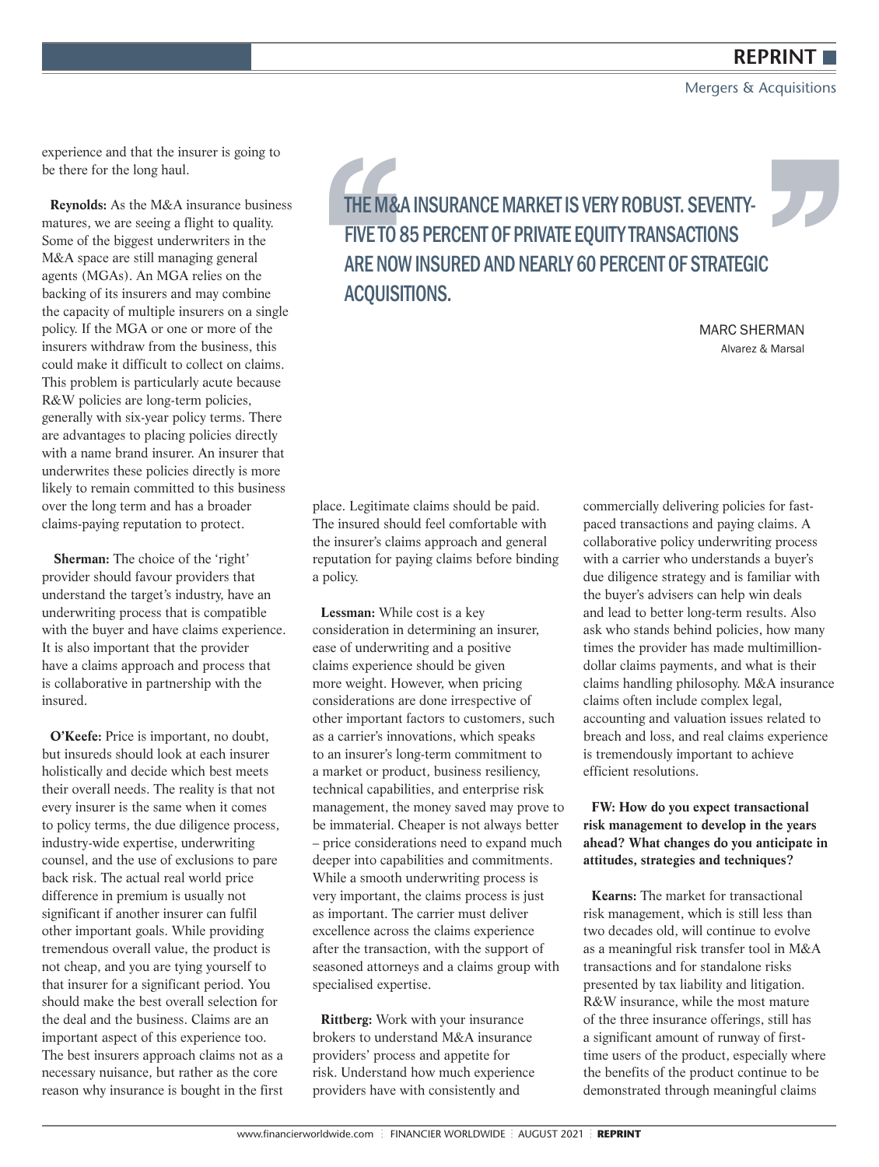Mergers & Acquisitions

experience and that the insurer is going to be there for the long haul.

**Reynolds:** As the M&A insurance business matures, we are seeing a flight to quality. Some of the biggest underwriters in the M&A space are still managing general agents (MGAs). An MGA relies on the backing of its insurers and may combine the capacity of multiple insurers on a single policy. If the MGA or one or more of the insurers withdraw from the business, this could make it difficult to collect on claims. This problem is particularly acute because R&W policies are long-term policies, generally with six-year policy terms. There are advantages to placing policies directly with a name brand insurer. An insurer that underwrites these policies directly is more likely to remain committed to this business over the long term and has a broader claims-paying reputation to protect.

**Sherman:** The choice of the 'right' provider should favour providers that understand the target's industry, have an underwriting process that is compatible with the buyer and have claims experience. It is also important that the provider have a claims approach and process that is collaborative in partnership with the insured.

**O'Keefe:** Price is important, no doubt, but insureds should look at each insurer holistically and decide which best meets their overall needs. The reality is that not every insurer is the same when it comes to policy terms, the due diligence process, industry-wide expertise, underwriting counsel, and the use of exclusions to pare back risk. The actual real world price difference in premium is usually not significant if another insurer can fulfil other important goals. While providing tremendous overall value, the product is not cheap, and you are tying yourself to that insurer for a significant period. You should make the best overall selection for the deal and the business. Claims are an important aspect of this experience too. The best insurers approach claims not as a necessary nuisance, but rather as the core reason why insurance is bought in the first

THE M&A INSURANCE MARKET IS VERY ROBUST. SEVENTY-<br>
FIVE TO 85 PERCENT OF PRIVATE EQUITY TRANSACTIONS<br>
ARE NOW INSURED AND NEARLY 60 PERCENT OF STRATEGIC<br>
ACQUISITIONS.<br>
MARC SHERMAN<br>
Alvarez & Marsal FIVE TO 85 PERCENT OF PRIVATE EQUITY TRANSACTIONS ARE NOW INSURED AND NEARLY 60 PERCENT OF STRATEGIC ACQUISITIONS.

MARC SHERMAN Alvarez & Marsal

place. Legitimate claims should be paid. The insured should feel comfortable with the insurer's claims approach and general reputation for paying claims before binding a policy.

**Lessman:** While cost is a key consideration in determining an insurer, ease of underwriting and a positive claims experience should be given more weight. However, when pricing considerations are done irrespective of other important factors to customers, such as a carrier's innovations, which speaks to an insurer's long-term commitment to a market or product, business resiliency, technical capabilities, and enterprise risk management, the money saved may prove to be immaterial. Cheaper is not always better – price considerations need to expand much deeper into capabilities and commitments. While a smooth underwriting process is very important, the claims process is just as important. The carrier must deliver excellence across the claims experience after the transaction, with the support of seasoned attorneys and a claims group with specialised expertise.

**Rittberg:** Work with your insurance brokers to understand M&A insurance providers' process and appetite for risk. Understand how much experience providers have with consistently and

commercially delivering policies for fastpaced transactions and paying claims. A collaborative policy underwriting process with a carrier who understands a buyer's due diligence strategy and is familiar with the buyer's advisers can help win deals and lead to better long-term results. Also ask who stands behind policies, how many times the provider has made multimilliondollar claims payments, and what is their claims handling philosophy. M&A insurance claims often include complex legal, accounting and valuation issues related to breach and loss, and real claims experience is tremendously important to achieve efficient resolutions.

#### **FW: How do you expect transactional risk management to develop in the years ahead? What changes do you anticipate in attitudes, strategies and techniques?**

**Kearns:** The market for transactional risk management, which is still less than two decades old, will continue to evolve as a meaningful risk transfer tool in M&A transactions and for standalone risks presented by tax liability and litigation. R&W insurance, while the most mature of the three insurance offerings, still has a significant amount of runway of firsttime users of the product, especially where the benefits of the product continue to be demonstrated through meaningful claims